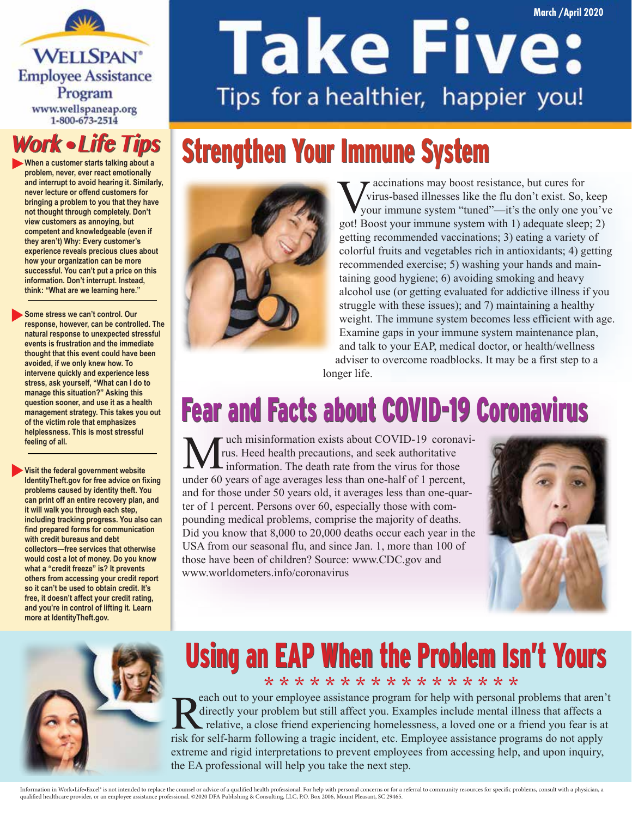**WELLSPAN**<sup>®</sup> **Employee Assistance** Program www.wellspaneap.org 1-800-673-2514

#### **Work • Life Tips**

**When a customer starts talking about a problem, never, ever react emotionally and interrupt to avoid hearing it. Similarly, never lecture or offend customers for bringing a problem to you that they have not thought through completely. Don't view customers as annoying, but competent and knowledgeable (even if they aren't) Why: Every customer's experience reveals precious clues about how your organization can be more successful. You can't put a price on this information. Don't interrupt. Instead, think: "What are we learning here."**

**Some stress we can't control. Our response, however, can be controlled. The natural response to unexpected stressful events is frustration and the immediate thought that this event could have been avoided, if we only knew how. To intervene quickly and experience less stress, ask yourself, "What can I do to manage this situation?" Asking this question sooner, and use it as a health management strategy. This takes you out of the victim role that emphasizes helplessness. This is most stressful feeling of all.**

**Visit the federal government website IdentityTheft.gov for free advice on fixing problems caused by identity theft. You can print off an entire recovery plan, and it will walk you through each step, including tracking progress. You also can find prepared forms for communication with credit bureaus and debt collectors—free services that otherwise would cost a lot of money. Do you know what a "credit freeze" is? It prevents others from accessing your credit report so it can't be used to obtain credit. It's free, it doesn't affect your credit rating, and you're in control of lifting it. Learn more at IdentityTheft.gov.**

# **Take Five:** Tips for a healthier, happier you!

### **Strengthen Your Immune System**



r accinations may boost resistance, but cures for virus-based illnesses like the flu don't exist. So, keep your immune system "tuned"—it's the only one you've got! Boost your immune system with 1) adequate sleep; 2) getting recommended vaccinations; 3) eating a variety of colorful fruits and vegetables rich in antioxidants; 4) getting recommended exercise; 5) washing your hands and maintaining good hygiene; 6) avoiding smoking and heavy alcohol use (or getting evaluated for addictive illness if you struggle with these issues); and 7) maintaining a healthy weight. The immune system becomes less efficient with age. Examine gaps in your immune system maintenance plan, and talk to your EAP, medical doctor, or health/wellness adviser to overcome roadblocks. It may be a first step to a longer life.

### Fear and Facts about COVID-19 Coronavirus

 $\blacksquare$  uch misinformation exists about COVID-19 coronavirus. Heed health precautions, and seek authoritative information. The death rate from the virus for those under 60 years of age averages less than one-half of 1 percent, and for those under 50 years old, it averages less than one-quarter of 1 percent. Persons over 60, especially those with compounding medical problems, comprise the majority of deaths. Did you know that 8,000 to 20,000 deaths occur each year in the USA from our seasonal flu, and since Jan. 1, more than 100 of those have been of children? Source: www.CDC.gov and www.worldometers.info/coronavirus





#### Using an EAP When the Problem Isn't Yours \* \* \* \* \* \* \* \* \* \* \* \* \* \* \* \* \*

each out to your employee assistance program for help with personal problems that aren't directly your problem but still affect you. Examples include mental illness that affects a relative, a close friend experiencing homelessness, a loved one or a friend you fear is at risk for self-harm following a tragic incident, etc. Employee assistance programs do not apply extreme and rigid interpretations to prevent employees from accessing help, and upon inquiry, the EA professional will help you take the next step.

Information in Work-Life-Excel<sup>s</sup> is not intended to replace the counsel or advice of a qualified health professional. For help with personal concerns or for a referral to community resources for specific problems, consult qualied healthcare provider, or an employee assistance professional. ©2020 DFA Publishing & Consulting, LLC, P.O. Box 2006, Mount Pleasant, SC 29465.